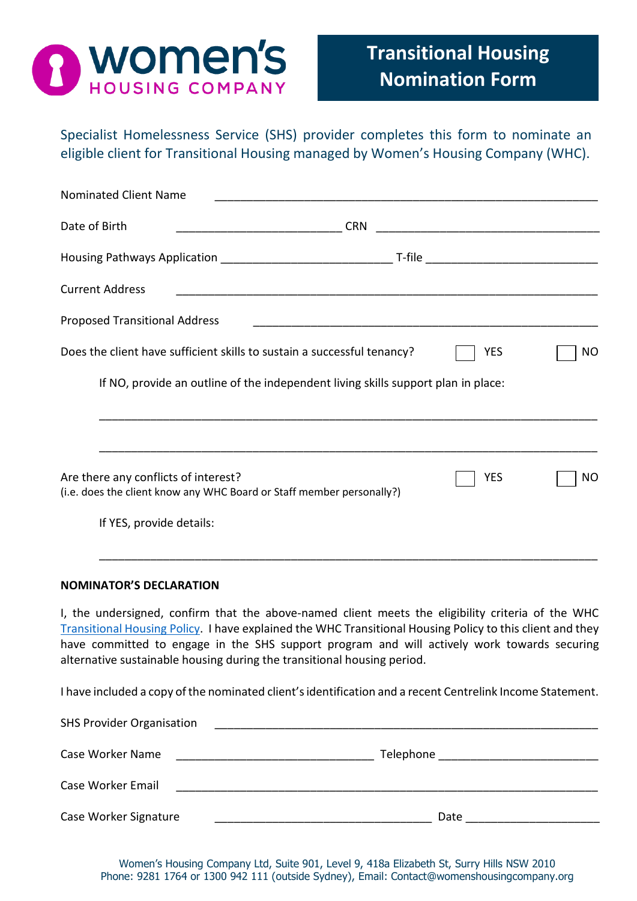

Specialist Homelessness Service (SHS) provider completes this form to nominate an eligible client for Transitional Housing managed by Women's Housing Company (WHC).

| <b>YES</b> | NO                                                                                                                                             |
|------------|------------------------------------------------------------------------------------------------------------------------------------------------|
|            |                                                                                                                                                |
|            |                                                                                                                                                |
| <b>YES</b> | NO                                                                                                                                             |
|            |                                                                                                                                                |
|            |                                                                                                                                                |
|            | <u> 1980 - John Stein, Amerikaansk politiker († 1908)</u><br>If NO, provide an outline of the independent living skills support plan in place: |

I, the undersigned, confirm that the above-named client meets the eligibility criteria of the WHC [Transitional Housing Policy.](http://www.womenshousingcompany.org.au/uploads/tenants/housing-services/Transitional-Housing-Policy---August-2018-051228.pdf) I have explained the WHC Transitional Housing Policy to this client and they have committed to engage in the SHS support program and will actively work towards securing alternative sustainable housing during the transitional housing period.

I have included a copy of the nominated client's identification and a recent Centrelink Income Statement.

| <b>SHS Provider Organisation</b> |           |
|----------------------------------|-----------|
| Case Worker Name                 | Telephone |
| Case Worker Email                |           |
| Case Worker Signature            | Date      |

Women's Housing Company Ltd, Suite 901, Level 9, 418a Elizabeth St, Surry Hills NSW 2010 Phone: 9281 1764 or 1300 942 111 (outside Sydney), Email: Contact@womenshousingcompany.org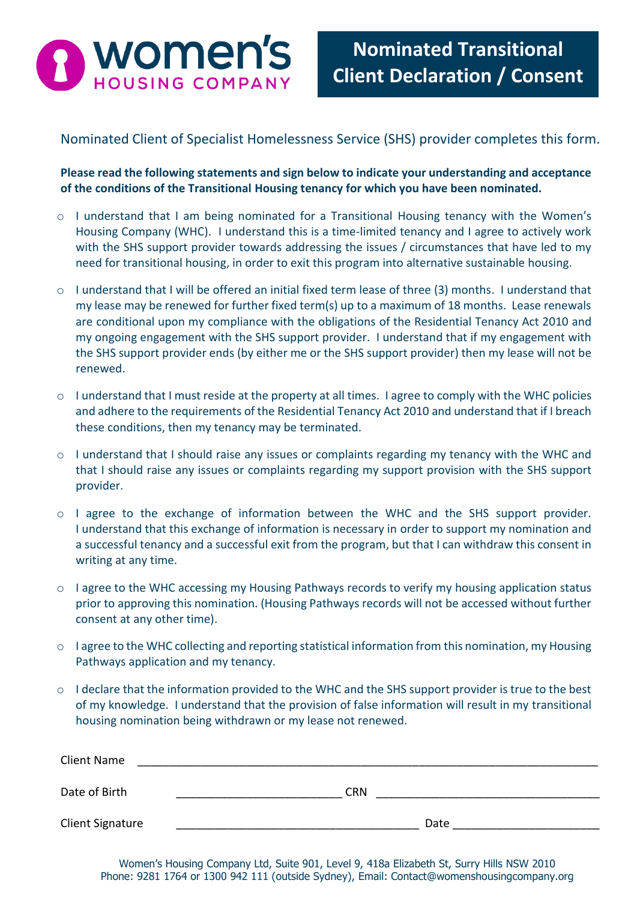

**Form**

## Nominated Client of Specialist Homelessness Service (SHS) provider completes this form.

**Please read the following statements and sign below to indicate your understanding and acceptance of the conditions of the Transitional Housing tenancy for which you have been nominated.** 

- o I understand that I am being nominated for a Transitional Housing tenancy with the Women's Housing Company (WHC). I understand this is a time-limited tenancy and I agree to actively work with the SHS support provider towards addressing the issues / circumstances that have led to my need for transitional housing, in order to exit this program into alternative sustainable housing.
- o I understand that I will be offered an initial fixed term lease of three (3) months. I understand that my lease may be renewed for further fixed term(s) up to a maximum of 18 months. Lease renewals are conditional upon my compliance with the obligations of the Residential Tenancy Act 2010 and my ongoing engagement with the SHS support provider. I understand that if my engagement with the SHS support provider ends (by either me or the SHS support provider) then my lease will not be renewed.
- o I understand that I must reside at the property at all times. I agree to comply with the WHC policies and adhere to the requirements of the Residential Tenancy Act 2010 and understand that if I breach these conditions, then my tenancy may be terminated.
- o I understand that I should raise any issues or complaints regarding my tenancy with the WHC and that I should raise any issues or complaints regarding my support provision with the SHS support provider.
- o I agree to the exchange of information between the WHC and the SHS support provider. I understand that this exchange of information is necessary in order to support my nomination and a successful tenancy and a successful exit from the program, but that I can withdraw this consent in writing at any time.
- $\circ$  I agree to the WHC accessing my Housing Pathways records to verify my housing application status prior to approving this nomination. (Housing Pathways records will not be accessed without further consent at any other time).
- o I agree to the WHC collecting and reporting statistical information from this nomination, my Housing Pathways application and my tenancy.
- o I declare that the information provided to the WHC and the SHS support provider is true to the best of my knowledge. I understand that the provision of false information will result in my transitional housing nomination being withdrawn or my lease not renewed.

| <b>Client Name</b>      |            |
|-------------------------|------------|
| Date of Birth           | <b>CRN</b> |
| <b>Client Signature</b> | Date       |

Women's Housing Company Ltd, Suite 901, Level 9, 418a Elizabeth St, Surry Hills NSW 2010 Phone: 9281 1764 or 1300 942 111 (outside Sydney), Email: Contact@womenshousingcompany.org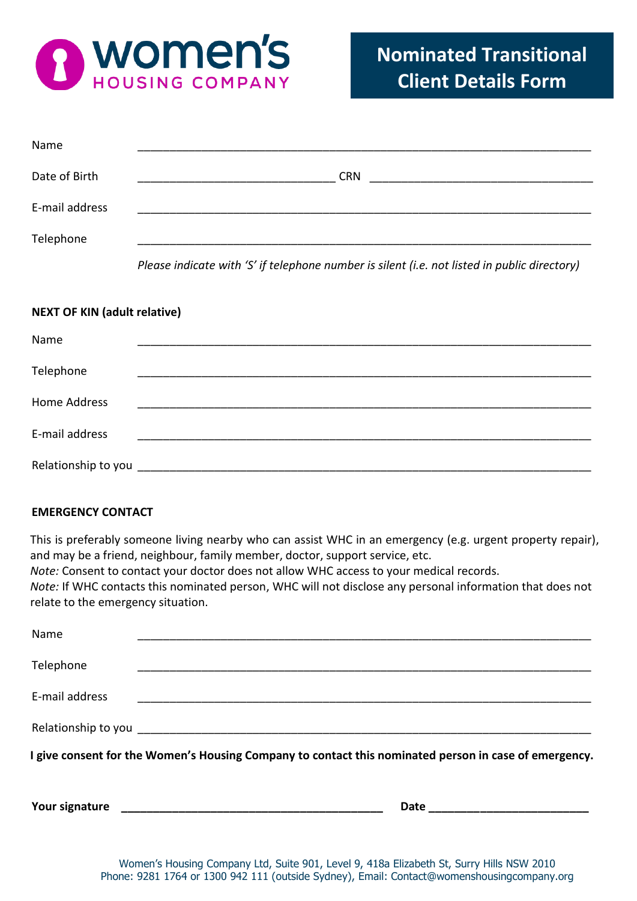

| Name           |            |
|----------------|------------|
| Date of Birth  | <b>CRN</b> |
| E-mail address |            |
| Telephone      |            |

*Please indicate with 'S' if telephone number is silent (i.e. not listed in public directory)*

## **NEXT OF KIN (adult relative)**

| Name           |  |  |
|----------------|--|--|
|                |  |  |
| Telephone      |  |  |
|                |  |  |
| Home Address   |  |  |
|                |  |  |
| E-mail address |  |  |
|                |  |  |
|                |  |  |

## **EMERGENCY CONTACT**

This is preferably someone living nearby who can assist WHC in an emergency (e.g. urgent property repair), and may be a friend, neighbour, family member, doctor, support service, etc.

*Note:* Consent to contact your doctor does not allow WHC access to your medical records.

*Note:* If WHC contacts this nominated person, WHC will not disclose any personal information that does not relate to the emergency situation.

| Name           |                                                                                                       |
|----------------|-------------------------------------------------------------------------------------------------------|
| Telephone      |                                                                                                       |
| E-mail address |                                                                                                       |
|                |                                                                                                       |
|                | I give consent for the Women's Housing Company to contact this nominated person in case of emergency. |
| Your signature | Date                                                                                                  |

Women's Housing Company Ltd, Suite 901, Level 9, 418a Elizabeth St, Surry Hills NSW 2010 Phone: 9281 1764 or 1300 942 111 (outside Sydney), Email: Contact@womenshousingcompany.org